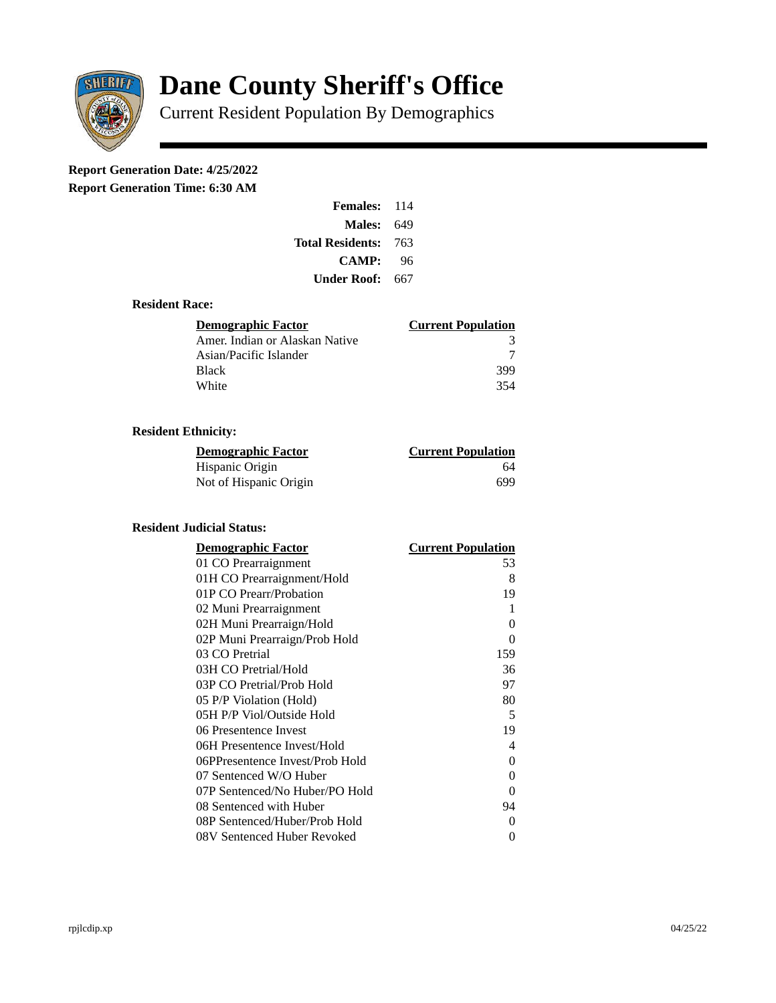

# **Dane County Sheriff's Office**

Current Resident Population By Demographics

# **Report Generation Date: 4/25/2022**

**Report Generation Time: 6:30 AM** 

| <b>Females: 114</b> |      |
|---------------------|------|
| Males:              | 649  |
| Total Residents:    | -763 |
| <b>CAMP:</b>        | 96   |
| Under Roof: \       | 667  |

### **Resident Race:**

| <b>Demographic Factor</b>      | <b>Current Population</b> |
|--------------------------------|---------------------------|
| Amer. Indian or Alaskan Native | 3                         |
| Asian/Pacific Islander         |                           |
| Black                          | 399                       |
| White                          | 354                       |

# **Resident Ethnicity:**

| <u> Demographic Factor</u> | <b>Current Population</b> |
|----------------------------|---------------------------|
| Hispanic Origin            | 64                        |
| Not of Hispanic Origin     | 699                       |

#### **Resident Judicial Status:**

| <b>Demographic Factor</b>       | <b>Current Population</b> |
|---------------------------------|---------------------------|
| 01 CO Prearraignment            | 53                        |
| 01H CO Prearraignment/Hold      | 8                         |
| 01P CO Prearr/Probation         | 19                        |
| 02 Muni Prearraignment          | 1                         |
| 02H Muni Prearraign/Hold        | 0                         |
| 02P Muni Prearraign/Prob Hold   | 0                         |
| 03 CO Pretrial                  | 159                       |
| 03H CO Pretrial/Hold            | 36                        |
| 03P CO Pretrial/Prob Hold       | 97                        |
| 05 P/P Violation (Hold)         | 80                        |
| 05H P/P Viol/Outside Hold       | 5                         |
| 06 Presentence Invest           | 19                        |
| 06H Presentence Invest/Hold     | 4                         |
| 06PPresentence Invest/Prob Hold | 0                         |
| 07 Sentenced W/O Huber          | 0                         |
| 07P Sentenced/No Huber/PO Hold  | 0                         |
| 08 Sentenced with Huber         | 94                        |
| 08P Sentenced/Huber/Prob Hold   | 0                         |
| 08V Sentenced Huber Revoked     | 0                         |